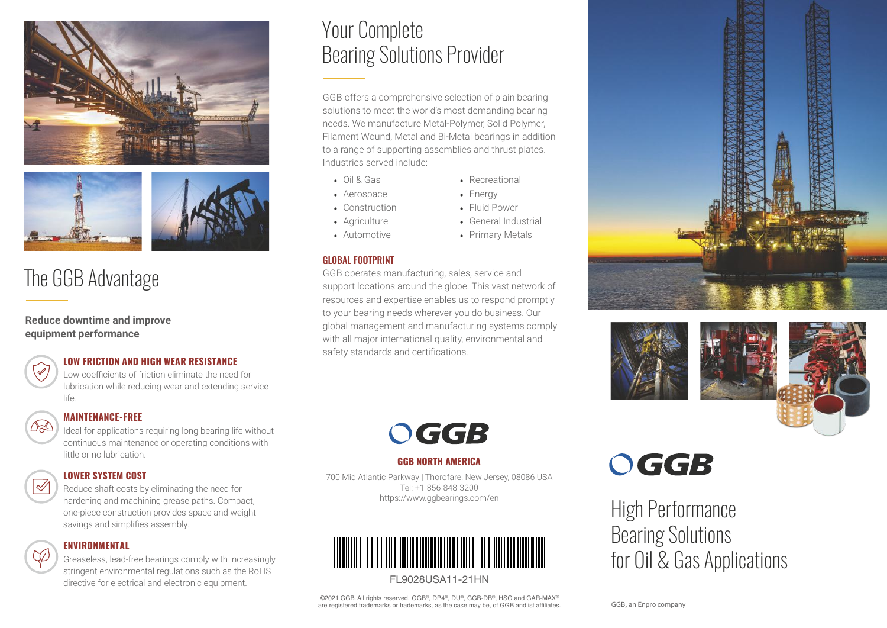



## The GGB Advantage

**Reduce downtime and improve equipment performance**

#### **LOW FRICTION AND HIGH WEAR RESISTANCE**

Low coefficients of friction eliminate the need for lubrication while reducing wear and extending service life.

#### **MAINTENANCE-FREE**

Ideal for applications requiring long bearing life without continuous maintenance or operating conditions with little or no lubrication.

 $\overline{\mathscr{Q}}$ 

62

#### **LOWER SYSTEM COST**

Reduce shaft costs by eliminating the need for hardening and machining grease paths. Compact, one-piece construction provides space and weight savings and simplifies assembly.

#### **ENVIRONMENTAL**

Greaseless, lead-free bearings comply with increasingly stringent environmental regulations such as the RoHS directive for electrical and electronic equipment.

### Your Complete Bearing Solutions Provider

GGB offers a comprehensive selection of plain bearing solutions to meet the world's most demanding bearing needs. We manufacture Metal-Polymer, Solid Polymer, Filament Wound, Metal and Bi-Metal bearings in addition to a range of supporting assemblies and thrust plates. Industries served include:

- Oil & Gas
- Aerospace • Construction

• Agriculture • Automotive

- Recreational • Energy
- - Fluid Power
	- General Industrial
	- Primary Metals

#### GLOBAL FOOTPRINT

GGB operates manufacturing, sales, service and support locations around the globe. This vast network of resources and expertise enables us to respond promptly to your bearing needs wherever you do business. Our global management and manufacturing systems comply with all major international quality, environmental and safety standards and certifications.







# OGGB

#### **GGB NORTH AMERICA**

700 Mid Atlantic Parkway | Thorofare, New Jersey, 08086 USA Tel: +1-856-848-3200 https://www.ggbearings.com/en



#### FL9028USA11-21HN

©2021 GGB. All rights reserved. GGB®, DP4®, DU®, GGB-DB®, HSG and GAR-MAX® are registered trademarks or trademarks, as the case may be, of GGB and ist affiliates.

# OGGB

High Performance Bearing Solutions for Oil & Gas Applications

GGB, an Enpro company